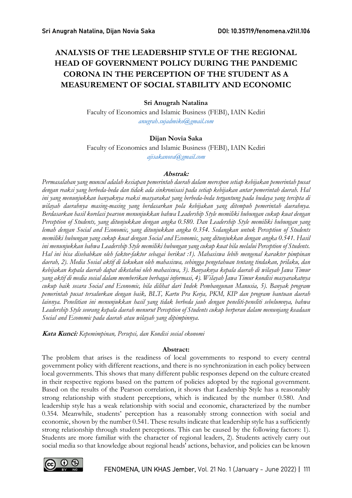# ANALYSIS OF THE LEADERSHIP STYLE OF THE REGIONAL HEAD OF GOVERNMENT POLICY DURING THE PANDEMIC CORONA IN THE PERCEPTION OF THE STUDENT AS A MEASUREMENT OF SOCIAL STABILITY AND ECONOMIC

# Sri Anugrah Natalina

Faculty of Economics and Islamic Business (FEBI), IAIN Kediri anugrah.sujadmiko@gmail.com

# Dijan Novia Saka

Faculty of Economics and Islamic Business (FEBI), IAIN Kediri

ajisakanova@gmail.com

#### Abstrak:

Permasalahan yang muncul adalah kesiapan pemerintah daerah dalam merespon setiap kebijakan pemerintah pusat dengan reaksi yang berbeda-beda dan tidak ada sinkronisasi pada setiap kebijakan antar pemerintah daerah. Hal ini yang menunjukkan banyaknya reaksi masyarakat yang berbeda-beda tergantung pada budaya yang tercipta di wilayah daerahnya masing-masing yang berdasarkan pola kebijakan yang ditempuh pemerintah daerahnya. Berdasarkan hasil korelasi pearson menunjukkan bahwa Leadership Style memiliki hubungan cukup kuat dengan Perception of Students, yang ditunjukkan dengan angka 0.580. Dan Leadership Style memiliki hubungan yang lemah dengan Social and Economic, yang ditunjukkan angka 0.354. Sedangkan untuk Perception of Students memiliki hubungan yang cukup kuat dengan Social and Economic, yang ditunjukkan dengan angka 0.541. Hasil ini menunjukkan bahwa Leadership Style memiliki hubungan yang cukup kuat bila melalui Perception of Students. Hal ini bisa disebabkan oleh faktor-faktor sebagai berikut :1). Mahasiswa lebih mengenal karakter pimpinan daerah, 2). Media Sosial aktif di lakukan oleh mahasiswa, sehingga pengetahuan tentang tindakan, prilaku, dan kebijakan kepala daerah dapat diketahui oleh mahasiswa, 3). Banyaknya kepala daerah di wilayah Jawa Timur yang aktif di media sosial dalam memberikan berbagai informasi, 4). Wilayah Jawa Timur kondisi masyarakatnya cukup baik secara Social and Economic, bila dilihat dari Indek Pembangunan Manusia, 5). Banyak program pemerintah pusat tersalurkan dengan baik, BLT, Kartu Pra Kerja, PKM, KIP dan program bantuan daerah lainnya. Penelitian ini menunjukkan hasil yang tidak berbeda jauh dengan peneliti-peneliti sebelumnya, bahwa Leadership Style seorang kepala daerah menurut Perception of Students cukup berperan dalam menunjang keadaan Social and Economic pada daerah atau wilayah yang dipimpinnya.

Kata Kunci: Kepemimpinan, Persepsi, dan Kondisi sosial ekonomi

# Abstract:

The problem that arises is the readiness of local governments to respond to every central government policy with different reactions, and there is no synchronization in each policy between local governments. This shows that many different public responses depend on the culture created in their respective regions based on the pattern of policies adopted by the regional government. Based on the results of the Pearson correlation, it shows that Leadership Style has a reasonably strong relationship with student perceptions, which is indicated by the number 0.580. And leadership style has a weak relationship with social and economic, characterized by the number 0.354. Meanwhile, students' perception has a reasonably strong connection with social and economic, shown by the number 0.541. These results indicate that leadership style has a sufficiently strong relationship through student perceptions. This can be caused by the following factors: 1). Students are more familiar with the character of regional leaders, 2). Students actively carry out social media so that knowledge about regional heads' actions, behavior, and policies can be known

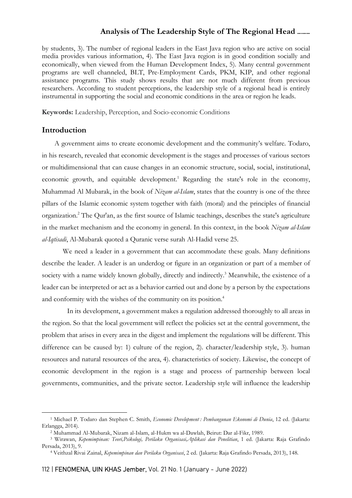by students, 3). The number of regional leaders in the East Java region who are active on social media provides various information, 4). The East Java region is in good condition socially and economically, when viewed from the Human Development Index, 5). Many central government programs are well channeled, BLT, Pre-Employment Cards, PKM, KIP, and other regional assistance programs. This study shows results that are not much different from previous researchers. According to student perceptions, the leadership style of a regional head is entirely instrumental in supporting the social and economic conditions in the area or region he leads.

Keywords: Leadership, Perception, and Socio-economic Conditions

# Introduction

A government aims to create economic development and the community's welfare. Todaro, in his research, revealed that economic development is the stages and processes of various sectors or multidimensional that can cause changes in an economic structure, social, social, institutional, economic growth, and equitable development.<sup>1</sup> Regarding the state's role in the economy, Muhammad Al Mubarak, in the book of Nizam al-Islam, states that the country is one of the three pillars of the Islamic economic system together with faith (moral) and the principles of financial organization.<sup>2</sup> The Qur'an, as the first source of Islamic teachings, describes the state's agriculture in the market mechanism and the economy in general. In this context, in the book Nizam al-Islam al-Iqtisadi, Al-Mubarak quoted a Quranic verse surah Al-Hadid verse 25.

We need a leader in a government that can accommodate these goals. Many definitions describe the leader. A leader is an underdog or figure in an organization or part of a member of society with a name widely known globally, directly and indirectly.<sup>3</sup> Meanwhile, the existence of a leader can be interpreted or act as a behavior carried out and done by a person by the expectations and conformity with the wishes of the community on its position.<sup>4</sup>

In its development, a government makes a regulation addressed thoroughly to all areas in the region. So that the local government will reflect the policies set at the central government, the problem that arises in every area in the digest and implement the regulations will be different. This difference can be caused by: 1) culture of the region, 2). character/leadership style, 3). human resources and natural resources of the area, 4). characteristics of society. Likewise, the concept of economic development in the region is a stage and process of partnership between local governments, communities, and the private sector. Leadership style will influence the leadership

<sup>&</sup>lt;sup>1</sup> Michael P. Todaro dan Stephen C. Smith, Economic Development : Pembangunan Ekonomi di Dunia, 12 ed. (Jakarta: Erlangga, 2014).

<sup>2</sup> Muhammad Al-Mubarak, Nizam al-Islam, al-Hukm wa al-Dawlah, Beirut: Dar al-Fikr, 1989.

<sup>&</sup>lt;sup>3</sup> Wirawan, Kepemimpinan: Teori,Psikologi, Perilaku Organisasi,Aplikasi dan Penelitian, 1 ed. (Jakarta: Raja Grafindo Persada, 2013), 9.

<sup>&</sup>lt;sup>4</sup> Veithzal Rivai Zainal, Kepemimpinan dan Perilaku Organisasi, 2 ed. (Jakarta: Raja Grafindo Persada, 2013), 148.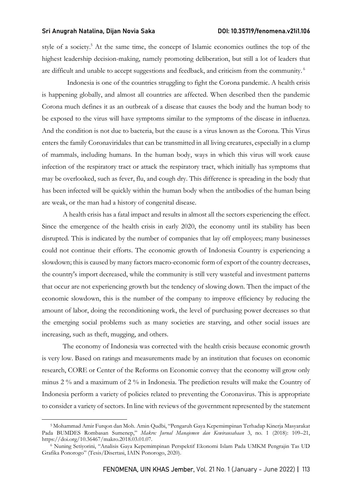style of a society.<sup>5</sup> At the same time, the concept of Islamic economics outlines the top of the highest leadership decision-making, namely promoting deliberation, but still a lot of leaders that are difficult and unable to accept suggestions and feedback, and criticism from the community.<sup>6</sup>

Indonesia is one of the countries struggling to fight the Corona pandemic. A health crisis is happening globally, and almost all countries are affected. When described then the pandemic Corona much defines it as an outbreak of a disease that causes the body and the human body to be exposed to the virus will have symptoms similar to the symptoms of the disease in influenza. And the condition is not due to bacteria, but the cause is a virus known as the Corona. This Virus enters the family Coronaviridales that can be transmitted in all living creatures, especially in a clump of mammals, including humans. In the human body, ways in which this virus will work cause infection of the respiratory tract or attack the respiratory tract, which initially has symptoms that may be overlooked, such as fever, flu, and cough dry. This difference is spreading in the body that has been infected will be quickly within the human body when the antibodies of the human being are weak, or the man had a history of congenital disease.

A health crisis has a fatal impact and results in almost all the sectors experiencing the effect. Since the emergence of the health crisis in early 2020, the economy until its stability has been disrupted. This is indicated by the number of companies that lay off employees; many businesses could not continue their efforts. The economic growth of Indonesia Country is experiencing a slowdown; this is caused by many factors macro-economic form of export of the country decreases, the country's import decreased, while the community is still very wasteful and investment patterns that occur are not experiencing growth but the tendency of slowing down. Then the impact of the economic slowdown, this is the number of the company to improve efficiency by reducing the amount of labor, doing the reconditioning work, the level of purchasing power decreases so that the emerging social problems such as many societies are starving, and other social issues are increasing, such as theft, mugging, and others.

The economy of Indonesia was corrected with the health crisis because economic growth is very low. Based on ratings and measurements made by an institution that focuses on economic research, CORE or Center of the Reforms on Economic convey that the economy will grow only minus 2 % and a maximum of 2 % in Indonesia. The prediction results will make the Country of Indonesia perform a variety of policies related to preventing the Coronavirus. This is appropriate to consider a variety of sectors. In line with reviews of the government represented by the statement

<sup>5</sup> Mohammad Amir Furqon dan Moh. Amin Qudbi, "Pengaruh Gaya Kepemimpinan Terhadap Kinerja Masyarakat Pada BUMDES Rombasan Sumenep," Makro: Jurnal Manajemen dan Kewirausahaan 3, no. 1 (2018): 109–21, https://doi.org/10.36467/makro.2018.03.01.07.

<sup>6</sup> Nuning Setiyorini, "Analisis Gaya Kepemimpinan Perspektif Ekonomi Islam Pada UMKM Pengrajin Tas UD Grafika Ponorogo" (Tesis/Disertasi, IAIN Ponorogo, 2020).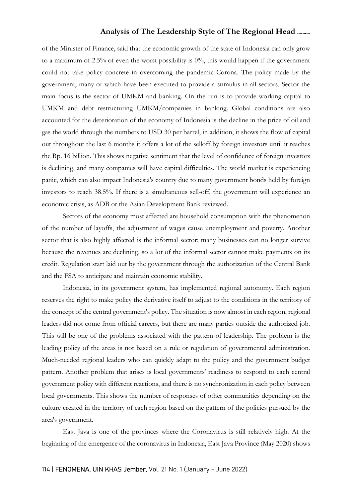of the Minister of Finance, said that the economic growth of the state of Indonesia can only grow to a maximum of 2.5% of even the worst possibility is 0%, this would happen if the government could not take policy concrete in overcoming the pandemic Corona. The policy made by the government, many of which have been executed to provide a stimulus in all sectors. Sector the main focus is the sector of UMKM and banking. On the run is to provide working capital to UMKM and debt restructuring UMKM/companies in banking. Global conditions are also accounted for the deterioration of the economy of Indonesia is the decline in the price of oil and gas the world through the numbers to USD 30 per barrel, in addition, it shows the flow of capital out throughout the last 6 months it offers a lot of the selloff by foreign investors until it reaches the Rp. 16 billion. This shows negative sentiment that the level of confidence of foreign investors is declining, and many companies will have capital difficulties. The world market is experiencing panic, which can also impact Indonesia's country due to many government bonds held by foreign investors to reach 38.5%. If there is a simultaneous sell-off, the government will experience an economic crisis, as ADB or the Asian Development Bank reviewed.

Sectors of the economy most affected are household consumption with the phenomenon of the number of layoffs, the adjustment of wages cause unemployment and poverty. Another sector that is also highly affected is the informal sector; many businesses can no longer survive because the revenues are declining, so a lot of the informal sector cannot make payments on its credit. Regulation start laid out by the government through the authorization of the Central Bank and the FSA to anticipate and maintain economic stability.

Indonesia, in its government system, has implemented regional autonomy. Each region reserves the right to make policy the derivative itself to adjust to the conditions in the territory of the concept of the central government's policy. The situation is now almost in each region, regional leaders did not come from official careers, but there are many parties outside the authorized job. This will be one of the problems associated with the pattern of leadership. The problem is the leading policy of the areas is not based on a rule or regulation of governmental administration. Much-needed regional leaders who can quickly adapt to the policy and the government budget pattern. Another problem that arises is local governments' readiness to respond to each central government policy with different reactions, and there is no synchronization in each policy between local governments. This shows the number of responses of other communities depending on the culture created in the territory of each region based on the pattern of the policies pursued by the area's government.

East Java is one of the provinces where the Coronavirus is still relatively high. At the beginning of the emergence of the coronavirus in Indonesia, East Java Province (May 2020) shows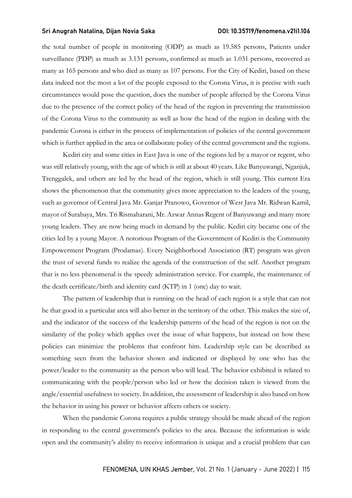the total number of people in monitoring (ODP) as much as 19.585 persons, Patients under surveillance (PDP) as much as 3.131 persons, confirmed as much as 1.031 persons, recovered as many as 165 persons and who died as many as 107 persons. For the City of Kediri, based on these data indeed not the most a lot of the people exposed to the Corona Virus, it is precise with such circumstances would pose the question, does the number of people affected by the Corona Virus due to the presence of the correct policy of the head of the region in preventing the transmission of the Corona Virus to the community as well as how the head of the region in dealing with the pandemic Corona is either in the process of implementation of policies of the central government which is further applied in the area or collaborate policy of the central government and the regions.

Kediri city and some cities in East Java is one of the regions led by a mayor or regent, who was still relatively young, with the age of which is still at about 40 years. Like Banyuwangi, Nganjuk, Trenggalek, and others are led by the head of the region, which is still young. This current Era shows the phenomenon that the community gives more appreciation to the leaders of the young, such as governor of Central Java Mr. Ganjar Pranowo, Governor of West Java Mr. Ridwan Kamil, mayor of Surabaya, Mrs. Tri Rismaharani, Mr. Azwar Annas Regent of Banyuwangi and many more young leaders. They are now being much in demand by the public. Kediri city became one of the cities led by a young Mayor. A notorious Program of the Government of Kediri is the Community Empowerment Program (Prodamas). Every Neighborhood Association (RT) program was given the trust of several funds to realize the agenda of the construction of the self. Another program that is no less phenomenal is the speedy administration service. For example, the maintenance of the death certificate/birth and identity card (KTP) in 1 (one) day to wait.

The pattern of leadership that is running on the head of each region is a style that can not be that good in a particular area will also better in the territory of the other. This makes the size of, and the indicator of the success of the leadership patterns of the head of the region is not on the similarity of the policy which applies over the issue of what happens, but instead on how these policies can minimize the problems that confront him. Leadership style can be described as something seen from the behavior shown and indicated or displayed by one who has the power/leader to the community as the person who will lead. The behavior exhibited is related to communicating with the people/person who led or how the decision taken is viewed from the angle/essential usefulness to society. In addition, the assessment of leadership is also based on how the behavior in using his power or behavior affects others or society.

When the pandemic Corona requires a public strategy should be made ahead of the region in responding to the central government's policies to the area. Because the information is wide open and the community's ability to receive information is unique and a crucial problem that can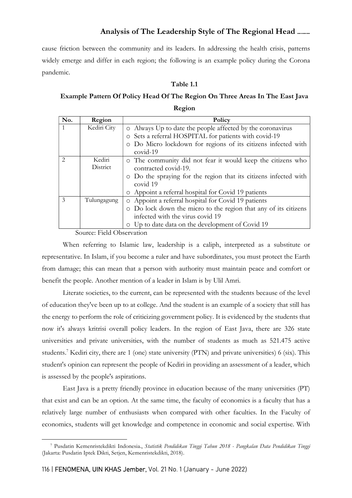cause friction between the community and its leaders. In addressing the health crisis, patterns widely emerge and differ in each region; the following is an example policy during the Corona pandemic.

#### Table 1.1

# Example Pattern Of Policy Head Of The Region On Three Areas In The East Java

Region

| No.           | Region      | Policy                                                                 |
|---------------|-------------|------------------------------------------------------------------------|
|               | Kediri City | o Always Up to date the people affected by the coronavirus             |
|               |             | o Sets a referral HOSPITAL for patients with covid-19                  |
|               |             | Do Micro lockdown for regions of its citizens infected with<br>$\circ$ |
|               |             | $covid-19$                                                             |
| $\mathcal{L}$ | Kediri      | o The community did not fear it would keep the citizens who            |
|               | District    | contracted covid-19.                                                   |
|               |             | o Do the spraying for the region that its citizens infected with       |
|               |             | covid 19                                                               |
|               |             | o Appoint a referral hospital for Covid 19 patients                    |
| $\mathcal{Z}$ | Tulungagung | o Appoint a referral hospital for Covid 19 patients                    |
|               |             | o Do lock down the micro to the region that any of its citizens        |
|               |             | infected with the virus covid 19                                       |
|               |             | Up to date data on the development of Covid 19<br>$\circ$              |

Source: Field Observation

When referring to Islamic law, leadership is a caliph, interpreted as a substitute or representative. In Islam, if you become a ruler and have subordinates, you must protect the Earth from damage; this can mean that a person with authority must maintain peace and comfort or benefit the people. Another mention of a leader in Islam is by Ulil Amri.

Literate societies, to the current, can be represented with the students because of the level of education they've been up to at college. And the student is an example of a society that still has the energy to perform the role of criticizing government policy. It is evidenced by the students that now it's always kritrisi overall policy leaders. In the region of East Java, there are 326 state universities and private universities, with the number of students as much as 521.475 active students.<sup>7</sup> Kediri city, there are 1 (one) state university (PTN) and private universities) 6 (six). This student's opinion can represent the people of Kediri in providing an assessment of a leader, which is assessed by the people's aspirations.

East Java is a pretty friendly province in education because of the many universities (PT) that exist and can be an option. At the same time, the faculty of economics is a faculty that has a relatively large number of enthusiasts when compared with other faculties. In the Faculty of economics, students will get knowledge and competence in economic and social expertise. With

<sup>&</sup>lt;sup>7</sup> Pusdatin Kemenristekdikti Indonesia., Statistik Pendidikan Tinggi Tahun 2018 - Pangkalan Data Pendidikan Tinggi (Jakarta: Pusdatin Iptek Dikti, Setjen, Kemenristekdikti, 2018).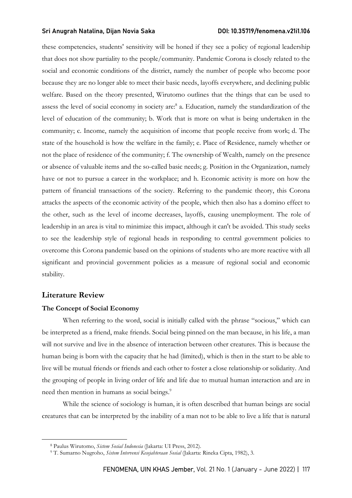these competencies, students' sensitivity will be honed if they see a policy of regional leadership that does not show partiality to the people/community. Pandemic Corona is closely related to the social and economic conditions of the district, namely the number of people who become poor because they are no longer able to meet their basic needs, layoffs everywhere, and declining public welfare. Based on the theory presented, Wirutomo outlines that the things that can be used to assess the level of social economy in society are:<sup>8</sup> a. Education, namely the standardization of the level of education of the community; b. Work that is more on what is being undertaken in the community; c. Income, namely the acquisition of income that people receive from work; d. The state of the household is how the welfare in the family; e. Place of Residence, namely whether or not the place of residence of the community; f. The ownership of Wealth, namely on the presence or absence of valuable items and the so-called basic needs; g. Position in the Organization, namely have or not to pursue a career in the workplace; and h. Economic activity is more on how the pattern of financial transactions of the society. Referring to the pandemic theory, this Corona attacks the aspects of the economic activity of the people, which then also has a domino effect to the other, such as the level of income decreases, layoffs, causing unemployment. The role of leadership in an area is vital to minimize this impact, although it can't be avoided. This study seeks to see the leadership style of regional heads in responding to central government policies to overcome this Corona pandemic based on the opinions of students who are more reactive with all significant and provincial government policies as a measure of regional social and economic stability.

## Literature Review

#### The Concept of Social Economy

When referring to the word, social is initially called with the phrase "socious," which can be interpreted as a friend, make friends. Social being pinned on the man because, in his life, a man will not survive and live in the absence of interaction between other creatures. This is because the human being is born with the capacity that he had (limited), which is then in the start to be able to live will be mutual friends or friends and each other to foster a close relationship or solidarity. And the grouping of people in living order of life and life due to mutual human interaction and are in need then mention in humans as social beings.<sup>9</sup>

While the science of sociology is human, it is often described that human beings are social creatures that can be interpreted by the inability of a man not to be able to live a life that is natural

<sup>&</sup>lt;sup>8</sup> Paulus Wirutomo, Sistem Sosial Indonesia (Jakarta: UI Press, 2012).

<sup>&</sup>lt;sup>9</sup> T. Sumarno Nugroho, Sistem Intervensi Kesejahteraan Sosial (Jakarta: Rineka Cipta, 1982), 3.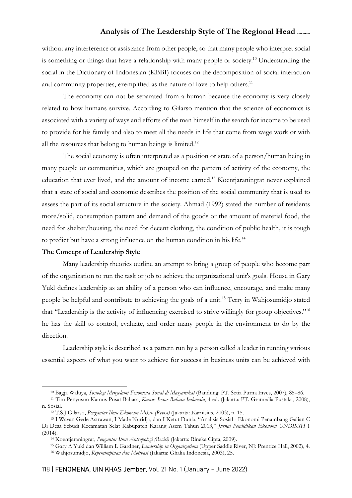without any interference or assistance from other people, so that many people who interpret social is something or things that have a relationship with many people or society.<sup>10</sup> Understanding the social in the Dictionary of Indonesian (KBBI) focuses on the decomposition of social interaction and community properties, exemplified as the nature of love to help others.<sup>11</sup>

The economy can not be separated from a human because the economy is very closely related to how humans survive. According to Gilarso mention that the science of economics is associated with a variety of ways and efforts of the man himself in the search for income to be used to provide for his family and also to meet all the needs in life that come from wage work or with all the resources that belong to human beings is limited.<sup>12</sup>

The social economy is often interpreted as a position or state of a person/human being in many people or communities, which are grouped on the pattern of activity of the economy, the education that ever lived, and the amount of income earned.<sup>13</sup> Koentjaraningrat never explained that a state of social and economic describes the position of the social community that is used to assess the part of its social structure in the society. Ahmad (1992) stated the number of residents more/solid, consumption pattern and demand of the goods or the amount of material food, the need for shelter/housing, the need for decent clothing, the condition of public health, it is tough to predict but have a strong influence on the human condition in his life.<sup>14</sup>

#### The Concept of Leadership Style

Many leadership theories outline an attempt to bring a group of people who become part of the organization to run the task or job to achieve the organizational unit's goals. House in Gary Yukl defines leadership as an ability of a person who can influence, encourage, and make many people be helpful and contribute to achieving the goals of a unit.<sup>15</sup> Terry in Wahjosumidjo stated that "Leadership is the activity of influencing exercised to strive willingly for group objectives."<sup>16</sup> he has the skill to control, evaluate, and order many people in the environment to do by the direction.

Leadership style is described as a pattern run by a person called a leader in running various essential aspects of what you want to achieve for success in business units can be achieved with

<sup>&</sup>lt;sup>10</sup> Bagja Waluya, Sosiologi Menyelami Fenomena Sosial di Masyarakat (Bandung: PT. Setia Purna Inves, 2007), 85–86.

<sup>11</sup> Tim Penyusun Kamus Pusat Bahasa, Kamus Besar Bahasa Indonesia, 4 ed. (Jakarta: PT. Gramedia Pustaka, 2008), n. Sosial.

<sup>12</sup> T.S.J Gilarso, Pengantar Ilmu Ekonomi Mikro (Revisi) (Jakarta: Karnisius, 2003), n. 15.

<sup>13</sup> I Wayan Gede Astrawan, I Made Nuridja, dan I Ketut Dunia, "Analisis Sosial - Ekonomi Penambang Galian C Di Desa Sebudi Kecamatan Selat Kabupaten Karang Asem Tahun 2013," Jurnal Pendidikan Ekonomi UNDIKSH 1 (2014).

<sup>&</sup>lt;sup>14</sup> Koentjaraningrat, Pengantar Ilmu Antropologi (Revisi) (Jakarta: Rineka Cipta, 2009).

<sup>&</sup>lt;sup>15</sup> Gary A Yukl dan William L Gardner, Leadership in Organizations (Upper Saddle River, NJ: Prentice Hall, 2002), 4.

<sup>&</sup>lt;sup>16</sup> Wahjosumidjo, Kepemimpinan dan Motivasi (Jakarta: Ghalia Indonesia, 2003), 25.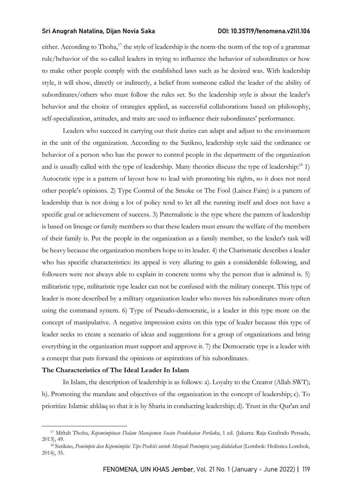either. According to Thoha,<sup>17</sup> the style of leadership is the norm-the norm of the top of a grammar rule/behavior of the so-called leaders in trying to influence the behavior of subordinates or how to make other people comply with the established laws such as he desired was. With leadership style, it will show, directly or indirectly, a belief from someone called the leader of the ability of subordinates/others who must follow the rules set. So the leadership style is about the leader's behavior and the choice of strategies applied, as successful collaborations based on philosophy, self-specialization, attitudes, and traits are used to influence their subordinates' performance.

Leaders who succeed in carrying out their duties can adapt and adjust to the environment in the unit of the organization. According to the Sutikno, leadership style said the ordinance or behavior of a person who has the power to control people in the department of the organization and is usually called with the type of leadership. Many theories discuss the type of leadership:<sup>18</sup> 1) Autocratic type is a pattern of layout how to lead with promoting his rights, so it does not need other people's opinions. 2) Type Control of the Smoke or The Fool (Laisez Faire) is a pattern of leadership that is not doing a lot of policy tend to let all the running itself and does not have a specific goal or achievement of success. 3) Paternalistic is the type where the pattern of leadership is based on lineage or family members so that these leaders must ensure the welfare of the members of their family is. Put the people in the organization as a family member, so the leader's task will be heavy because the organization members hope to its leader. 4) the Charismatic describes a leader who has specific characteristics: its appeal is very alluring to gain a considerable following, and followers were not always able to explain in concrete terms why the person that is admired is. 5) militaristic type, militaristic type leader can not be confused with the military concept. This type of leader is more described by a military organization leader who moves his subordinates more often using the command system. 6) Type of Pseudo-democratic, is a leader in this type more on the concept of manipulative. A negative impression exists on this type of leader because this type of leader seeks to create a scenario of ideas and suggestions for a group of organizations and bring everything in the organization must support and approve it. 7) the Democratic type is a leader with a concept that puts forward the opinions or aspirations of his subordinates.

#### The Characteristics of The Ideal Leader In Islam

In Islam, the description of leadership is as follows: a). Loyalty to the Creator (Allah SWT); b). Promoting the mandate and objectives of the organization in the concept of leadership; c). To prioritize Islamic ahklaq so that it is by Sharia in conducting leadership; d). Trust in the Qur'an and

<sup>&</sup>lt;sup>17</sup> Miftah Thoha, Kepemimpinan Dalam Manajemen Suatu Pendekatan Perilaku, 1 ed. (Jakarta: Raja Grafindo Persada, 2013), 49.

<sup>&</sup>lt;sup>18</sup> Sutikno, Pemimpin dan Kepemimpin: Tips Praktis untuk Menjadi Pemimpin yang diidolakan (Lombok: Holistica Lombok, 2014), 35.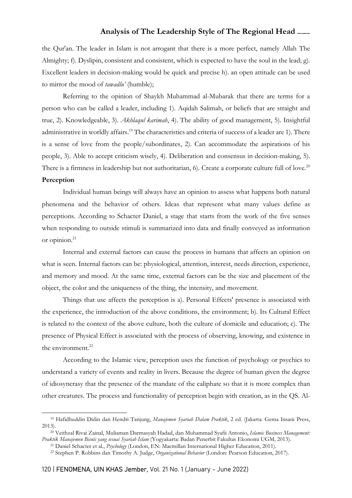the Qur'an. The leader in Islam is not arrogant that there is a more perfect, namely Allah The Almighty; f). Dyslipin, consistent and consistent, which is expected to have the soul in the lead; g). Excellent leaders in decision-making would be quick and precise h). an open attitude can be used to mirror the mood of *tawadlu'* (humble);

Referring to the opinion of Shaykh Muhammad al-Mubarak that there are terms for a person who can be called a leader, including 1). Aqidah Salimah, or beliefs that are straight and true, 2). Knowledgeable, 3). Akhlaqul karimah, 4). The ability of good management, 5). Insightful administrative in worldly affairs.<sup>19</sup> The characteristics and criteria of success of a leader are 1). There is a sense of love from the people/subordinates, 2). Can accommodate the aspirations of his people, 3). Able to accept criticism wisely, 4). Deliberation and consensus in decision-making, 5). There is a firmness in leadership but not authoritarian, 6). Create a corporate culture full of love.<sup>20</sup>

# Perception

Individual human beings will always have an opinion to assess what happens both natural phenomena and the behavior of others. Ideas that represent what many values define as perceptions. According to Schacter Daniel, a stage that starts from the work of the five senses when responding to outside stimuli is summarized into data and finally conveyed as information or opinion.<sup>21</sup>

Internal and external factors can cause the process in humans that affects an opinion on what is seen. Internal factors can be: physiological, attention, interest, needs direction, experience, and memory and mood. At the same time, external factors can be the size and placement of the object, the color and the uniqueness of the thing, the intensity, and movement.

Things that use affects the perception is a). Personal Effects' presence is associated with the experience, the introduction of the above conditions, the environment; b). Its Cultural Effect is related to the context of the above culture, both the culture of domicile and education; c). The presence of Physical Effect is associated with the process of observing, knowing, and existence in the environment.<sup>22</sup>

According to the Islamic view, perception uses the function of psychology or psychics to understand a variety of events and reality in livers. Because the degree of human given the degree of idiosyncrasy that the presence of the mandate of the caliphate so that it is more complex than other creatures. The process and functionality of perception begin with creation, as in the QS. Al-

<sup>&</sup>lt;sup>19</sup> Hafidhuddin Didin dan Hendri Tanjung, Manajemen Syariah Dalam Praktik, 2 ed. (Jakarta: Gema Insani Press, 2013).

<sup>&</sup>lt;sup>20</sup> Veithzal Rivai Zainal, Muliaman Darmasyah Hadad, dan Muhammad Syafii Antonio, Islamic Business Management: Praktik Manajemen Bisnis yang sesuai Syariah Islam (Yogyakarta: Badan Penerbit Fakultas Ekonomi UGM, 2013).

<sup>&</sup>lt;sup>21</sup> Daniel Schacter et al., *Psychology* (London, EN: Macmillan International Higher Education, 2011).

<sup>&</sup>lt;sup>22</sup> Stephen P. Robbins dan Timothy A. Judge, Organizational Behavior (London: Pearson Education, 2017).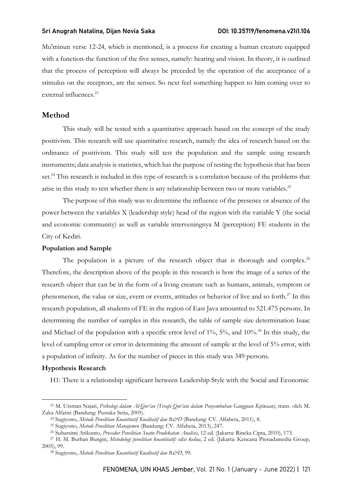Mu'minun verse 12-24, which is mentioned, is a process for creating a human creature equipped with a function-the function of the five senses, namely: hearing and vision. In theory, it is outlined that the process of perception will always be preceded by the operation of the acceptance of a stimulus on the receptors, are the senses. So next feel something happen to him coming over to external influences.<sup>23</sup>

# Method

This study will be tested with a quantitative approach based on the concept of the study positivism. This research will use quantitative research, namely the idea of research based on the ordinance of positivism. This study will test the population and the sample using research instruments; data analysis is statistics, which has the purpose of testing the hypothesis that has been set.<sup>24</sup> This research is included in this type of research is a correlation because of the problems that arise in this study to test whether there is any relationship between two or more variables.<sup>25</sup>

The purpose of this study was to determine the influence of the presence or absence of the power between the variables X (leadership style) head of the region with the variable Y (the social and economic community) as well as variable interveningnya M (perception) FE students in the City of Kediri.

#### Population and Sample

The population is a picture of the research object that is thorough and complex.<sup>26</sup> Therefore, the description above of the people in this research is how the image of a series of the research object that can be in the form of a living creature such as humans, animals, symptom or phenomenon, the value or size, event or events, attitudes or behavior of live and so forth.<sup>27</sup> In this research population, all students of FE in the region of East Java amounted to 521.475 persons. In determining the number of samples in this research, the table of sample size determination Isaac and Michael of the population with a specific error level of 1%, 5%, and 10%.<sup>28</sup> In this study, the level of sampling error or error in determining the amount of sample at the level of 5% error, with a population of infinity. As for the number of pieces in this study was 349 persons.

#### Hypothesis Research

H1: There is a relationship significant between Leadership Style with the Social and Economic

<sup>&</sup>lt;sup>23</sup> M. Utsman Najati, Psikologi dalam Al-Qur'an (Terapi Qur'ani dalam Penyembuhan Gangguan Kejiwaan), trans. oleh M. Zaka Alfarisi (Bandung: Pustaka Setia, 2005).

<sup>&</sup>lt;sup>24</sup> Sugiyono, Metode Penelitian Kuantitatif Kualitatif dan R&D (Bandung: CV. Alfabeta, 2011), 8.

<sup>25</sup> Sugiyono, Metode Penelitian Manajemen (Bandung: CV. Alfabeta, 2013), 247.

<sup>&</sup>lt;sup>26</sup> Suharsimi Arikunto, Prosedur Penelitian Suatu Pendekatan Analisis, 12 ed. (Jakarta: Rineka Cipta, 2010), 173.

<sup>&</sup>lt;sup>27</sup> H. M. Burhan Bungin, Metodologi penelitian kuantitatif: edisi kedua, 2 ed. (Jakarta: Kencana Prenadamedia Group, 2005), 99.

<sup>&</sup>lt;sup>28</sup> Sugiyono, Metode Penelitian Kuantitatif Kualitatif dan R&D, 99.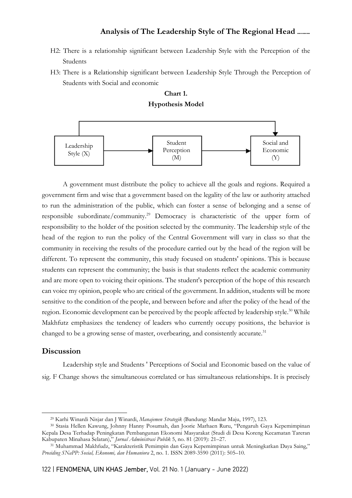- H2: There is a relationship significant between Leadership Style with the Perception of the Students
- H3: There is a Relationship significant between Leadership Style Through the Perception of Students with Social and economic





A government must distribute the policy to achieve all the goals and regions. Required a government firm and wise that a government based on the legality of the law or authority attached to run the administration of the public, which can foster a sense of belonging and a sense of responsible subordinate/community.<sup>29</sup> Democracy is characteristic of the upper form of responsibility to the holder of the position selected by the community. The leadership style of the head of the region to run the policy of the Central Government will vary in class so that the community in receiving the results of the procedure carried out by the head of the region will be different. To represent the community, this study focused on students' opinions. This is because students can represent the community; the basis is that students reflect the academic community and are more open to voicing their opinions. The student's perception of the hope of this research can voice my opinion, people who are critical of the government. In addition, students will be more sensitive to the condition of the people, and between before and after the policy of the head of the region. Economic development can be perceived by the people affected by leadership style.<sup>30</sup> While Makhfutz emphasizes the tendency of leaders who currently occupy positions, the behavior is changed to be a growing sense of master, overbearing, and consistently accurate.<sup>31</sup>

## **Discussion**

Leadership style and Students ' Perceptions of Social and Economic based on the value of sig. F Change shows the simultaneous correlated or has simultaneous relationships. It is precisely

<sup>&</sup>lt;sup>29</sup> Karhi Winardi Nisjar dan J Winardi, *Manajemen Strategik* (Bandung: Mandar Maju, 1997), 123.

<sup>30</sup> Stasia Hellen Kawung, Johnny Hanny Posumah, dan Joorie Marhaen Ruru, "Pengaruh Gaya Kepemimpinan Kepala Desa Terhadap Peningkatan Pembangunan Ekonomi Masyarakat (Studi di Desa Koreng Kecamatan Tareran Kabupaten Minahasa Selatan)," Jurnal Administrasi Publik 5, no. 81 (2019): 21–27.

<sup>31</sup> Muhammad Makhfudz, "Karakteristik Pemimpin dan Gaya Kepemimpinan untuk Meningkatkan Daya Saing," Prosiding SNaPP: Sosial, Ekonomi, dan Humaniora 2, no. 1. ISSN 2089-3590 (2011): 505–10.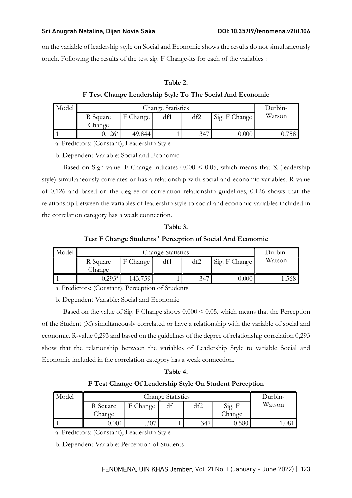on the variable of leadership style on Social and Economic shows the results do not simultaneously touch. Following the results of the test sig. F Change-its for each of the variables :

## Table 2.

F Test Change Leadership Style To The Social And Economic

| Model |                  | Durbin- |     |               |        |  |
|-------|------------------|---------|-----|---------------|--------|--|
|       | R Square         | df1     | df2 | Sig. F Change | Watson |  |
|       | Change           |         |     |               |        |  |
|       | 126 <sup>a</sup> | 49.844  |     | 347           | 0.000  |  |

a. Predictors: (Constant), Leadership Style

b. Dependent Variable: Social and Economic

Based on Sign value. F Change indicates  $0.000 \le 0.05$ , which means that X (leadership style) simultaneously correlates or has a relationship with social and economic variables. R-value of 0.126 and based on the degree of correlation relationship guidelines, 0.126 shows that the relationship between the variables of leadership style to social and economic variables included in the correlation category has a weak connection.

# Table 3. Test F Change Students ' Perception of Social And Economic

| Model |                 | Durbin-  |     |     |               |        |
|-------|-----------------|----------|-----|-----|---------------|--------|
|       | R Square        | F Change | df1 | df2 | Sig. F Change | Watson |
|       | Change          |          |     |     |               |        |
|       | $0.293^{\rm a}$ | 143.759. |     | 347 | 0.000         | .568   |

a. Predictors: (Constant), Perception of Students

b. Dependent Variable: Social and Economic

Based on the value of Sig. F Change shows  $0.000 \le 0.05$ , which means that the Perception of the Student (M) simultaneously correlated or have a relationship with the variable of social and economic. R-value 0,293 and based on the guidelines of the degree of relationship correlation 0,293 show that the relationship between the variables of Leadership Style to variable Social and Economic included in the correlation category has a weak connection.

# Table 4.

# F Test Change Of Leadership Style On Student Perception

| Model |          | Durbin-  |     |     |        |        |
|-------|----------|----------|-----|-----|--------|--------|
|       | R Square | F Change | df1 | df2 | Sig. F | Watson |
|       | Change   |          |     |     | Change |        |
|       |          | .307     |     | 347 | 0.580  | .08    |

a. Predictors: (Constant), Leadership Style

b. Dependent Variable: Perception of Students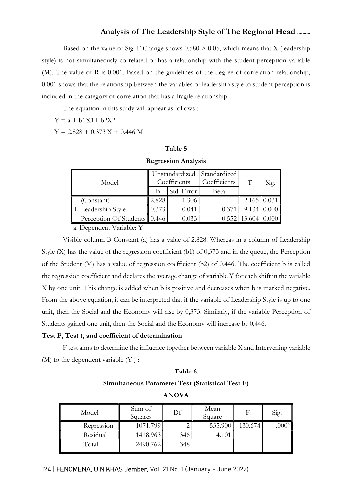Based on the value of Sig. F Change shows  $0.580 > 0.05$ , which means that X (leadership style) is not simultaneously correlated or has a relationship with the student perception variable (M). The value of R is 0.001. Based on the guidelines of the degree of correlation relationship, 0.001 shows that the relationship between the variables of leadership style to student perception is included in the category of correlation that has a fragile relationship.

The equation in this study will appear as follows :

 $Y = a + b1X1 + b2X2$ 

 $Y = 2.828 + 0.373 X + 0.446 M$ 

#### Table 5

#### Regression Analysis

| Model                          |       | Coefficients | Unstandardized Standardized<br>Coefficients | T                  | Sig.               |
|--------------------------------|-------|--------------|---------------------------------------------|--------------------|--------------------|
|                                | В     | Std. Error   | Beta                                        |                    |                    |
| (Constant)                     | 2.828 | 1.306        |                                             | $2.165 \mid 0.031$ |                    |
| 1 Leadership Style             | 0.373 | 0.041        | 0.371                                       |                    | $9.134 \mid 0.000$ |
| Perception Of Students   0.446 |       | 0.033        | 0.552                                       | 13.604             | 0.000              |

a. Dependent Variable: Y

Visible column B Constant (a) has a value of 2.828. Whereas in a column of Leadership Style (X) has the value of the regression coefficient (b1) of 0,373 and in the queue, the Perception of the Student (M) has a value of regression coefficient (b2) of 0,446. The coefficient b is called the regression coefficient and declares the average change of variable Y for each shift in the variable X by one unit. This change is added when b is positive and decreases when b is marked negative. From the above equation, it can be interpreted that if the variable of Leadership Style is up to one unit, then the Social and the Economy will rise by 0,373. Similarly, if the variable Perception of Students gained one unit, then the Social and the Economy will increase by 0,446.

## Test F, Test t, and coefficient of determination

F test aims to determine the influence together between variable X and Intervening variable  $(M)$  to the dependent variable  $(Y)$ :

### Table 6.

#### Simultaneous Parameter Test (Statistical Test F)

ANOVA

| Model      | Sum of<br>Squares | Df  | Mean<br>Square | F       | Sig.              |
|------------|-------------------|-----|----------------|---------|-------------------|
| Regression | 1071.799          |     | 535.900        | 130.674 | .000 <sup>b</sup> |
| Residual   | 1418.963          | 346 | 4.101          |         |                   |
| Total      | 2490.762          | 348 |                |         |                   |
|            |                   |     |                |         |                   |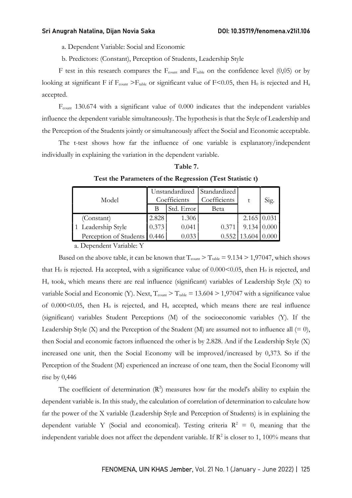a. Dependent Variable: Social and Economic

b. Predictors: (Constant), Perception of Students, Leadership Style

F test in this research compares the  $F_{\text{count}}$  and  $F_{\text{table}}$  on the confidence level (0,05) or by looking at significant F if  $F_{\text{count}} > F_{\text{table}}$  or significant value of F<0.05, then H<sub>0</sub> is rejected and H<sub>a</sub> accepted.

 $F<sub>control</sub>$  130.674 with a significant value of 0.000 indicates that the independent variables influence the dependent variable simultaneously. The hypothesis is that the Style of Leadership and the Perception of the Students jointly or simultaneously affect the Social and Economic acceptable.

The t-test shows how far the influence of one variable is explanatory/independent individually in explaining the variation in the dependent variable.

#### Table 7.

| Model                        |       | Coefficients | Unstandardized   Standardized  <br>Coefficients | t                  | Sig.  |  |
|------------------------------|-------|--------------|-------------------------------------------------|--------------------|-------|--|
|                              | В     | Std. Error   | Beta                                            |                    |       |  |
| (Constant)                   | 2.828 | 1.306        |                                                 | $2.165 \mid 0.031$ |       |  |
| 1 Leadership Style           | 0.373 | 0.041        | 0.371                                           | 9.134              | 0.000 |  |
| Perception of Students 0.446 |       | 0.033        | 0.552                                           | 13.604             |       |  |

Test the Parameters of the Regression (Test Statistic t)

a. Dependent Variable: Y

Based on the above table, it can be known that  $T_{\text{count}} > T_{\text{table}} = 9.134 > 1,97047$ , which shows that  $H_0$  is rejected. Ha accepted, with a significance value of  $0.000<0.05$ , then  $H_0$  is rejected, and Ha took, which means there are real influence (significant) variables of Leadership Style (X) to variable Social and Economic (Y). Next,  $T_{\text{count}} > T_{\text{table}} = 13.604 > 1,97047$  with a significance value of  $0.000<0.05$ , then  $H_0$  is rejected, and  $H_a$  accepted, which means there are real influence (significant) variables Student Perceptions (M) of the socioeconomic variables (Y). If the Leadership Style (X) and the Perception of the Student (M) are assumed not to influence all  $(= 0)$ , then Social and economic factors influenced the other is by 2.828. And if the Leadership Style (X) increased one unit, then the Social Economy will be improved/increased by 0,373. So if the Perception of the Student (M) experienced an increase of one team, then the Social Economy will rise by 0,446

The coefficient of determination  $(R^2)$  measures how far the model's ability to explain the dependent variable is. In this study, the calculation of correlation of determination to calculate how far the power of the X variable (Leadership Style and Perception of Students) is in explaining the dependent variable Y (Social and economical). Testing criteria  $R^2 = 0$ , meaning that the independent variable does not affect the dependent variable. If  $\mathbb{R}^2$  is closer to 1, 100% means that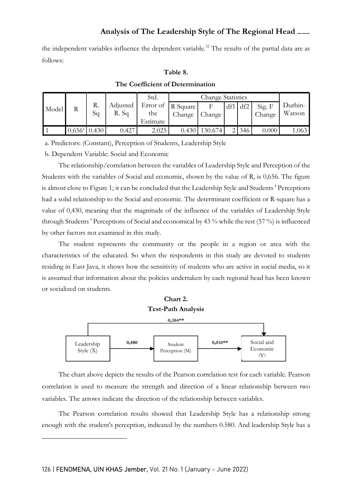the independent variables influence the dependent variable.<sup>32</sup> The results of the partial data are as follows:

## Table 8.

|       |                 |          |                   | Std.                                             |        | <b>Change Statistics</b> |     |     |                  |                   |
|-------|-----------------|----------|-------------------|--------------------------------------------------|--------|--------------------------|-----|-----|------------------|-------------------|
| Model | R               | R.<br>Sq | Adjusted<br>R. Sq | Error of $ R \text{ Square} $<br>the<br>Estimate | Change | Change                   | df1 | df2 | Sig. F<br>Change | Durbin-<br>Watson |
|       | $0.656^{\circ}$ | .430     | 0.427             | 2.025                                            | 0.43C  | 30.674                   |     | 346 | 0.000            | .063              |

## The Coefficient of Determination

a. Predictors: (Constant), Perception of Students, Leadership Style

b. Dependent Variable: Social and Economic

The relationship/correlation between the variables of Leadership Style and Perception of the Students with the variables of Social and economic, shown by the value of R, is 0,656. The figure is almost close to Figure 1; it can be concluded that the Leadership Style and Students ' Perceptions had a solid relationship to the Social and economic. The determinant coefficient or R-square has a value of 0,430, meaning that the magnitude of the influence of the variables of Leadership Style through Students ' Perceptions of Social and economical by 43 % while the rest (57 %) is influenced by other factors not examined in this study.

The student represents the community or the people in a region or area with the characteristics of the educated. So when the respondents in this study are devoted to students residing in East Java, it shows how the sensitivity of students who are active in social media, so it is assumed that information about the policies undertaken by each regional head has been known or socialized on students.



The chart above depicts the results of the Pearson correlation test for each variable. Pearson correlation is used to measure the strength and direction of a linear relationship between two variables. The arrows indicate the direction of the relationship between variables.

The Pearson correlation results showed that Leadership Style has a relationship strong enough with the student's perception, indicated by the numbers 0.580. And leadership Style has a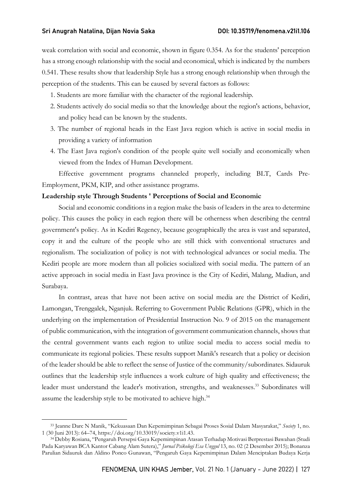weak correlation with social and economic, shown in figure 0.354. As for the students' perception has a strong enough relationship with the social and economical, which is indicated by the numbers 0.541. These results show that leadership Style has a strong enough relationship when through the perception of the students. This can be caused by several factors as follows:

- 1. Students are more familiar with the character of the regional leadership.
- 2. Students actively do social media so that the knowledge about the region's actions, behavior, and policy head can be known by the students.
- 3. The number of regional heads in the East Java region which is active in social media in providing a variety of information
- 4. The East Java region's condition of the people quite well socially and economically when viewed from the Index of Human Development.

Effective government programs channeled properly, including BLT, Cards Pre-Employment, PKM, KIP, and other assistance programs.

#### Leadership style Through Students ' Perceptions of Social and Economic

Social and economic conditions in a region make the basis of leaders in the area to determine policy. This causes the policy in each region there will be otherness when describing the central government's policy. As in Kediri Regency, because geographically the area is vast and separated, copy it and the culture of the people who are still thick with conventional structures and regionalism. The socialization of policy is not with technological advances or social media. The Kediri people are more modern than all policies socialized with social media. The pattern of an active approach in social media in East Java province is the City of Kediri, Malang, Madiun, and Surabaya.

In contrast, areas that have not been active on social media are the District of Kediri, Lamongan, Trenggalek, Nganjuk. Referring to Government Public Relations (GPR), which in the underlying on the implementation of Presidential Instruction No. 9 of 2015 on the management of public communication, with the integration of government communication channels, shows that the central government wants each region to utilize social media to access social media to communicate its regional policies. These results support Manik's research that a policy or decision of the leader should be able to reflect the sense of Justice of the community/subordinates. Sidauruk outlines that the leadership style influences a work culture of high quality and effectiveness; the leader must understand the leader's motivation, strengths, and weaknesses.<sup>33</sup> Subordinates will assume the leadership style to be motivated to achieve high.<sup>34</sup>

<sup>&</sup>lt;sup>33</sup> Jeanne Darc N Manik, "Kekuasaan Dan Kepemimpinan Sebagai Proses Sosial Dalam Masyarakat," Society 1, no. 1 (30 Juni 2013): 64–74, https://doi.org/10.33019/society.v1i1.43.

<sup>34</sup> Debby Rosiana, "Pengaruh Persepsi Gaya Kepemimpinan Atasan Terhadap Motivasi Berprestasi Bawahan (Studi Pada Karyawan BCA Kantor Cabang Alam Sutera)," Jurnal Psikologi Esa Unggul 13, no. 02 (2 Desember 2015); Bonanza Parulian Sidauruk dan Aldino Ponco Gunawan, "Pengaruh Gaya Kepemimpinan Dalam Menciptakan Budaya Kerja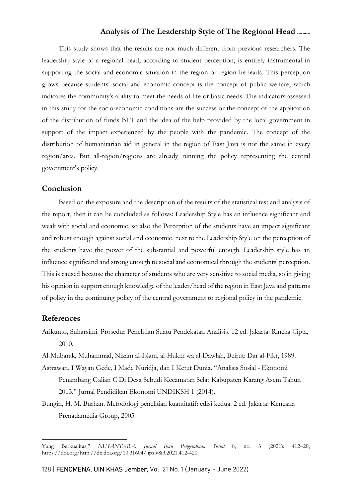This study shows that the results are not much different from previous researchers. The leadership style of a regional head, according to student perception, is entirely instrumental in supporting the social and economic situation in the region or region he leads. This perception grows because students' social and economic concept is the concept of public welfare, which indicates the community's ability to meet the needs of life or basic needs. The indicators assessed in this study for the socio-economic conditions are the success or the concept of the application of the distribution of funds BLT and the idea of the help provided by the local government in support of the impact experienced by the people with the pandemic. The concept of the distribution of humanitarian aid in general in the region of East Java is not the same in every region/area. But all-region/regions are already running the policy representing the central government's policy.

## Conclusion

Based on the exposure and the description of the results of the statistical test and analysis of the report, then it can be concluded as follows: Leadership Style has an influence significant and weak with social and economic, so also the Perception of the students have an impact significant and robust enough against social and economic, next to the Leadership Style on the perception of the students have the power of the substantial and powerful enough. Leadership style has an influence significand and strong enough to social and economical through the students' perception. This is caused because the character of students who are very sensitive to social media, so in giving his opinion in support enough knowledge of the leader/head of the region in East Java and patterns of policy in the continuing policy of the central government to regional policy in the pandemic.

### References

Arikunto, Suharsimi. Prosedur Penelitian Suatu Pendekatan Analisis. 12 ed. Jakarta: Rineka Cipta, 2010.

Al-Mubarak, Muhammad, Nizam al-Islam, al-Hukm wa al-Dawlah, Beirut: Dar al-Fikr, 1989.

- Astrawan, I Wayan Gede, I Made Nuridja, dan I Ketut Dunia. "Analisis Sosial Ekonomi Penambang Galian C Di Desa Sebudi Kecamatan Selat Kabupaten Karang Asem Tahun 2013." Jurnal Pendidikan Ekonomi UNDIKSH 1 (2014).
- Bungin, H. M. Burhan. Metodologi penelitian kuantitatif: edisi kedua. 2 ed. Jakarta: Kencana Prenadamedia Group, 2005.

Yang Berkualitas," NUSANTARA: Jurnal Ilmu Pengetahuan Sosial 8, no. 3 (2021): 412–20, https://doi.org/http://dx.doi.org/10.31604/jips.v8i3.2021.412-420.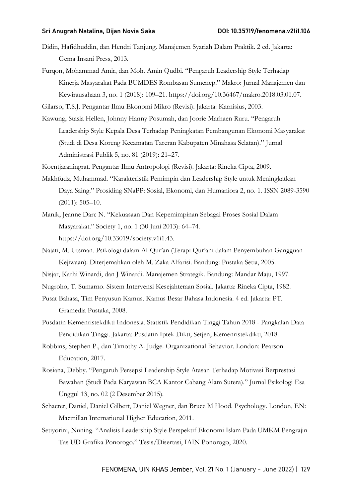- Didin, Hafidhuddin, dan Hendri Tanjung. Manajemen Syariah Dalam Praktik. 2 ed. Jakarta: Gema Insani Press, 2013.
- Furqon, Mohammad Amir, dan Moh. Amin Qudbi. "Pengaruh Leadership Style Terhadap Kinerja Masyarakat Pada BUMDES Rombasan Sumenep." Makro: Jurnal Manajemen dan Kewirausahaan 3, no. 1 (2018): 109–21. https://doi.org/10.36467/makro.2018.03.01.07.

Gilarso, T.S.J. Pengantar Ilmu Ekonomi Mikro (Revisi). Jakarta: Karnisius, 2003.

Kawung, Stasia Hellen, Johnny Hanny Posumah, dan Joorie Marhaen Ruru. "Pengaruh Leadership Style Kepala Desa Terhadap Peningkatan Pembangunan Ekonomi Masyarakat (Studi di Desa Koreng Kecamatan Tareran Kabupaten Minahasa Selatan)." Jurnal Administrasi Publik 5, no. 81 (2019): 21–27.

Koentjaraningrat. Pengantar Ilmu Antropologi (Revisi). Jakarta: Rineka Cipta, 2009.

- Makhfudz, Muhammad. "Karakteristik Pemimpin dan Leadership Style untuk Meningkatkan Daya Saing." Prosiding SNaPP: Sosial, Ekonomi, dan Humaniora 2, no. 1. ISSN 2089-3590 (2011): 505–10.
- Manik, Jeanne Darc N. "Kekuasaan Dan Kepemimpinan Sebagai Proses Sosial Dalam Masyarakat." Society 1, no. 1 (30 Juni 2013): 64–74. https://doi.org/10.33019/society.v1i1.43.
- Najati, M. Utsman. Psikologi dalam Al-Qur'an (Terapi Qur'ani dalam Penyembuhan Gangguan Kejiwaan). Diterjemahkan oleh M. Zaka Alfarisi. Bandung: Pustaka Setia, 2005.
- Nisjar, Karhi Winardi, dan J Winardi. Manajemen Strategik. Bandung: Mandar Maju, 1997.
- Nugroho, T. Sumarno. Sistem Intervensi Kesejahteraan Sosial. Jakarta: Rineka Cipta, 1982.
- Pusat Bahasa, Tim Penyusun Kamus. Kamus Besar Bahasa Indonesia. 4 ed. Jakarta: PT. Gramedia Pustaka, 2008.
- Pusdatin Kemenristekdikti Indonesia. Statistik Pendidikan Tinggi Tahun 2018 Pangkalan Data Pendidikan Tinggi. Jakarta: Pusdatin Iptek Dikti, Setjen, Kemenristekdikti, 2018.
- Robbins, Stephen P., dan Timothy A. Judge. Organizational Behavior. London: Pearson Education, 2017.
- Rosiana, Debby. "Pengaruh Persepsi Leadership Style Atasan Terhadap Motivasi Berprestasi Bawahan (Studi Pada Karyawan BCA Kantor Cabang Alam Sutera)." Jurnal Psikologi Esa Unggul 13, no. 02 (2 Desember 2015).
- Schacter, Daniel, Daniel Gilbert, Daniel Wegner, dan Bruce M Hood. Psychology. London, EN: Macmillan International Higher Education, 2011.
- Setiyorini, Nuning. "Analisis Leadership Style Perspektif Ekonomi Islam Pada UMKM Pengrajin Tas UD Grafika Ponorogo." Tesis/Disertasi, IAIN Ponorogo, 2020.